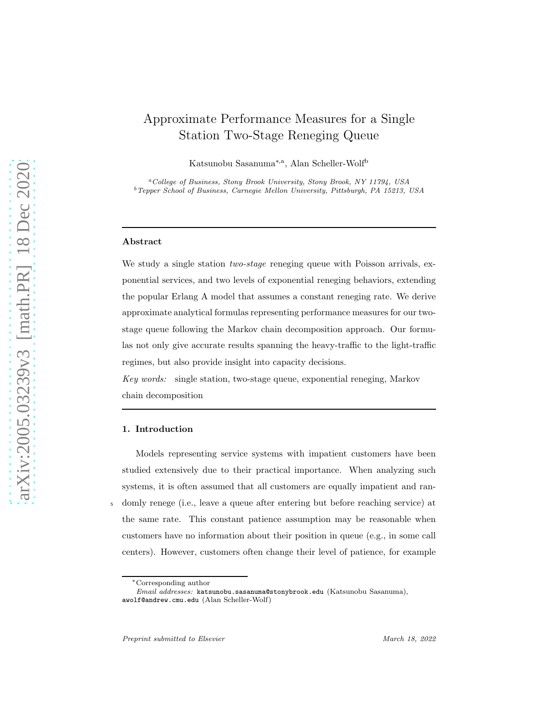# Approximate Performance Measures for a Single Station Two-Stage Reneging Queue

Katsunobu Sasanuma<sup>∗,a</sup>, Alan Scheller-Wolf<sup>b</sup>

<sup>a</sup>College of Business, Stony Brook University, Stony Brook, NY 11794, USA <sup>b</sup>Tepper School of Business, Carnegie Mellon University, Pittsburgh, PA 15213, USA

#### Abstract

We study a single station *two-stage* reneging queue with Poisson arrivals, exponential services, and two levels of exponential reneging behaviors, extending the popular Erlang A model that assumes a constant reneging rate. We derive approximate analytical formulas representing performance measures for our twostage queue following the Markov chain decomposition approach. Our formulas not only give accurate results spanning the heavy-traffic to the light-traffic regimes, but also provide insight into capacity decisions.

Key words: single station, two-stage queue, exponential reneging, Markov chain decomposition

#### 1. Introduction

Models representing service systems with impatient customers have been studied extensively due to their practical importance. When analyzing such systems, it is often assumed that all customers are equally impatient and ran-<sup>5</sup> domly renege (i.e., leave a queue after entering but before reaching service) at the same rate. This constant patience assumption may be reasonable when customers have no information about their position in queue (e.g., in some call centers). However, customers often change their level of patience, for example

<sup>∗</sup>Corresponding author

Email addresses: katsunobu.sasanuma@stonybrook.edu (Katsunobu Sasanuma), awolf@andrew.cmu.edu (Alan Scheller-Wolf)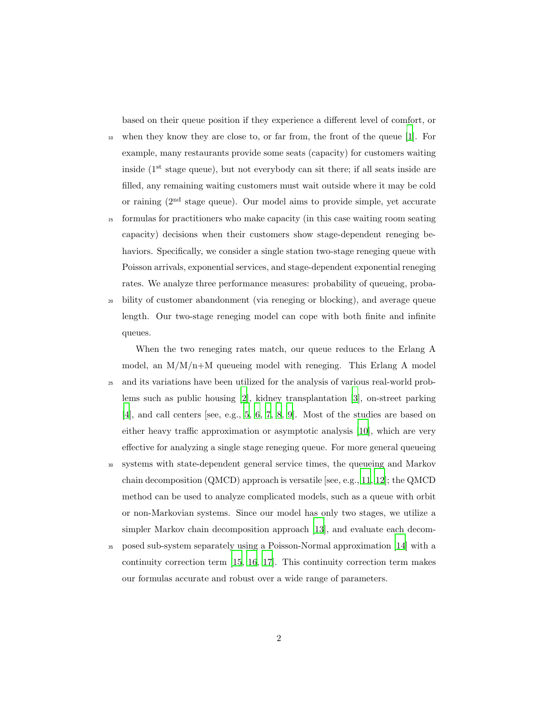based on their queue position if they experience a different level of comfort, or

- <sup>10</sup> when they know they are close to, or far from, the front of the queue [\[1\]](#page-19-0). For example, many restaurants provide some seats (capacity) for customers waiting inside  $(1<sup>st</sup> stage queue)$ , but not everybody can sit there; if all seats inside are filled, any remaining waiting customers must wait outside where it may be cold or raining  $(2<sup>nd</sup> stage queue)$ . Our model aims to provide simple, yet accurate
- <sup>15</sup> formulas for practitioners who make capacity (in this case waiting room seating capacity) decisions when their customers show stage-dependent reneging behaviors. Specifically, we consider a single station two-stage reneging queue with Poisson arrivals, exponential services, and stage-dependent exponential reneging rates. We analyze three performance measures: probability of queueing, proba-
- <sup>20</sup> bility of customer abandonment (via reneging or blocking), and average queue length. Our two-stage reneging model can cope with both finite and infinite queues.
- When the two reneging rates match, our queue reduces to the Erlang A model, an  $M/M/n+M$  queueing model with reneging. This Erlang A model <sup>25</sup> and its variations have been utilized for the analysis of various real-world problems such as public housing [\[2](#page-19-1)], kidney transplantation [\[3\]](#page-19-2), on-street parking [\[4\]](#page-19-3), and call centers [see, e.g., [5,](#page-19-4) [6,](#page-20-0) [7,](#page-20-1) [8,](#page-20-2) [9](#page-20-3)]. Most of the studies are based on either heavy traffic approximation or asymptotic analysis [\[10](#page-20-4)], which are very effective for analyzing a single stage reneging queue. For more general queueing
- <sup>30</sup> systems with state-dependent general service times, the queueing and Markov chain decomposition (QMCD) approach is versatile [see, e.g., [11](#page-20-5), [12](#page-20-6)]; the QMCD method can be used to analyze complicated models, such as a queue with orbit or non-Markovian systems. Since our model has only two stages, we utilize a simpler Markov chain decomposition approach [\[13\]](#page-20-7), and evaluate each decom-
- <sup>35</sup> posed sub-system separately using a Poisson-Normal approximation [\[14](#page-20-8)] with a continuity correction term [\[15](#page-20-9), [16,](#page-20-10) [17](#page-20-11)]. This continuity correction term makes our formulas accurate and robust over a wide range of parameters.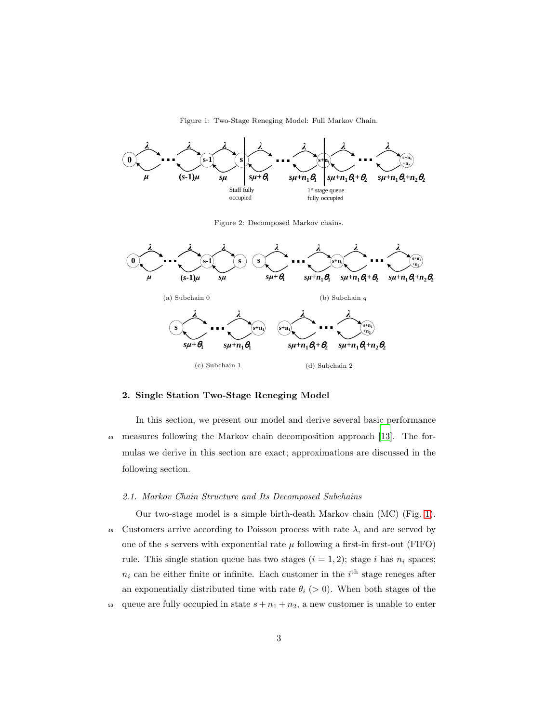Figure 1: Two-Stage Reneging Model: Full Markov Chain.

<span id="page-2-0"></span>

Figure 2: Decomposed Markov chains.

<span id="page-2-1"></span>

# 2. Single Station Two-Stage Reneging Model

In this section, we present our model and derive several basic performance <sup>40</sup> measures following the Markov chain decomposition approach [\[13](#page-20-7)]. The formulas we derive in this section are exact; approximations are discussed in the following section.

# 2.1. Markov Chain Structure and Its Decomposed Subchains

Our two-stage model is a simple birth-death Markov chain (MC) (Fig. [1\)](#page-2-0). 45 Customers arrive according to Poisson process with rate  $\lambda$ , and are served by one of the s servers with exponential rate  $\mu$  following a first-in first-out (FIFO) rule. This single station queue has two stages  $(i = 1, 2)$ ; stage i has  $n_i$  spaces;  $n_i$  can be either finite or infinite. Each customer in the  $i<sup>th</sup>$  stage reneges after an exponentially distributed time with rate  $\theta_i$  (> 0). When both stages of the 50 queue are fully occupied in state  $s + n_1 + n_2$ , a new customer is unable to enter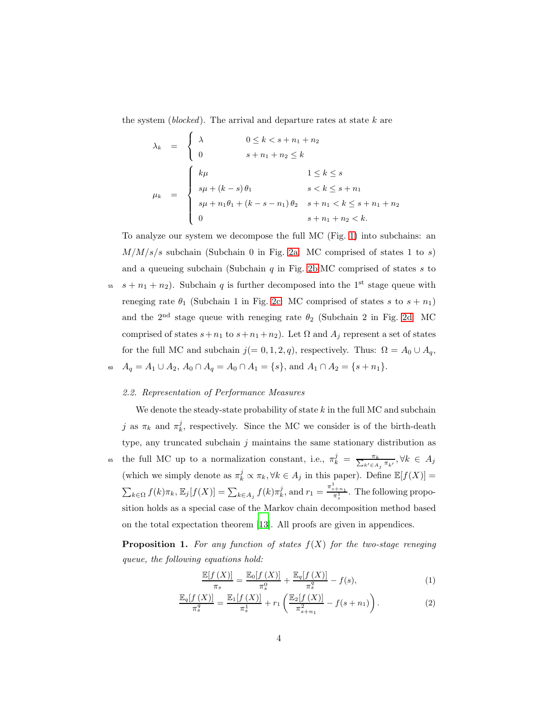the system (blocked). The arrival and departure rates at state  $k$  are

$$
\lambda_k = \begin{cases}\n\lambda & 0 \le k < s + n_1 + n_2 \\
0 & s + n_1 + n_2 \le k\n\end{cases}
$$
\n
$$
\mu_k = \begin{cases}\n\kmu & 1 \le k \le s \\
s\mu + (k - s)\theta_1 & s < k \le s + n_1 \\
s\mu + n_1\theta_1 + (k - s - n_1)\theta_2 & s + n_1 < k \le s + n_1 + n_2 \\
0 & s + n_1 + n_2 < k.\n\end{cases}
$$

To analyze our system we decompose the full MC (Fig. [1\)](#page-2-0) into subchains: an  $M/M/s/s$  subchain (Subchain 0 in Fig. [2a:](#page-2-1) MC comprised of states 1 to s) and a queueing subchain (Subchain  $q$  in Fig. [2b:](#page-2-1)MC comprised of states  $s$  to

<sup>55</sup>  $s + n_1 + n_2$ ). Subchain q is further decomposed into the 1<sup>st</sup> stage queue with reneging rate  $\theta_1$  (Subchain 1 in Fig. [2c:](#page-2-1) MC comprised of states s to  $s + n_1$ ) and the  $2<sup>nd</sup>$  stage queue with reneging rate  $\theta_2$  (Subchain 2 in Fig. [2d:](#page-2-1) MC comprised of states  $s+n_1$  to  $s+n_1+n_2$ ). Let  $\Omega$  and  $A_j$  represent a set of states for the full MC and subchain  $j(= 0, 1, 2, q)$ , respectively. Thus:  $\Omega = A_0 \cup A_q$ , 60  $A_q = A_1 \cup A_2$ ,  $A_0 \cap A_q = A_0 \cap A_1 = \{s\}$ , and  $A_1 \cap A_2 = \{s + n_1\}$ .

# 2.2. Representation of Performance Measures

We denote the steady-state probability of state  $k$  in the full MC and subchain j as  $\pi_k$  and  $\pi_k^j$ , respectively. Since the MC we consider is of the birth-death type, any truncated subchain  $j$  maintains the same stationary distribution as 65 the full MC up to a normalization constant, i.e.,  $\pi_k^j = \frac{\pi_k}{\sum_{k' \in A_j} \pi_{k'}}$ ,  $\forall k \in A_j$ (which we simply denote as  $\pi_k^j \propto \pi_k, \forall k \in A_j$  in this paper). Define  $\mathbb{E}[f(X)] =$  $\sum_{k\in\Omega} f(k)\pi_k$ ,  $\mathbb{E}_j[f(X)] = \sum_{k\in A_j} f(k)\pi_k^j$ , and  $r_1 = \frac{\pi_{s+n_1}^1}{\pi_s^1}$ . The following proposition holds as a special case of the Markov chain decomposition method based on the total expectation theorem [\[13\]](#page-20-7). All proofs are given in appendices.

<span id="page-3-0"></span>**Proposition 1.** For any function of states  $f(X)$  for the two-stage reneging queue, the following equations hold:

<span id="page-3-2"></span><span id="page-3-1"></span>
$$
\frac{\mathbb{E}[f(X)]}{\pi_s} = \frac{\mathbb{E}_0[f(X)]}{\pi_s^0} + \frac{\mathbb{E}_q[f(X)]}{\pi_s^q} - f(s),\tag{1}
$$

$$
\frac{\mathbb{E}_q[f(X)]}{\pi_s^q} = \frac{\mathbb{E}_1[f(X)]}{\pi_s^1} + r_1 \left( \frac{\mathbb{E}_2[f(X)]}{\pi_{s+n_1}^2} - f(s+n_1) \right). \tag{2}
$$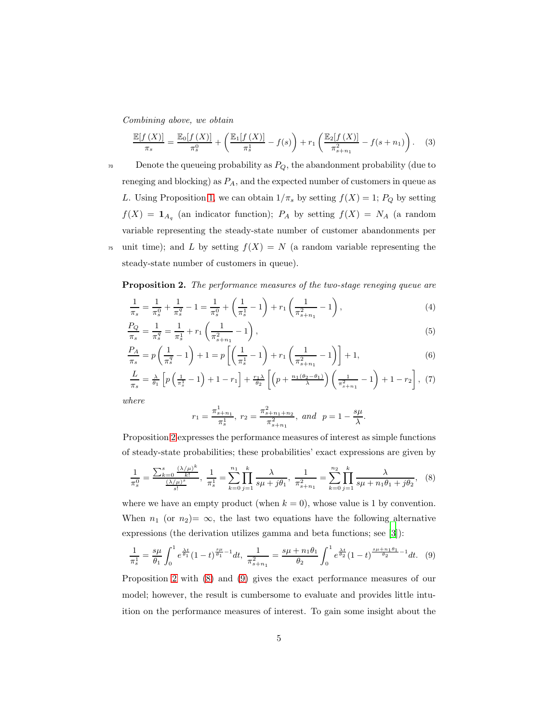Combining above, we obtain

<span id="page-4-3"></span>
$$
\frac{\mathbb{E}[f(X)]}{\pi_s} = \frac{\mathbb{E}_0[f(X)]}{\pi_s^0} + \left(\frac{\mathbb{E}_1[f(X)]}{\pi_s^1} - f(s)\right) + r_1 \left(\frac{\mathbb{E}_2[f(X)]}{\pi_{s+n_1}^2} - f(s+n_1)\right). \tag{3}
$$

 $\tau_0$  Denote the queueing probability as  $P_Q$ , the abandonment probability (due to reneging and blocking) as  $P_A$ , and the expected number of customers in queue as L. Using Proposition [1,](#page-3-0) we can obtain  $1/\pi_s$  by setting  $f(X) = 1$ ;  $P_Q$  by setting  $f(X) = \mathbf{1}_{A_q}$  (an indicator function);  $P_A$  by setting  $f(X) = N_A$  (a random variable representing the steady-state number of customer abandonments per <sup>75</sup> unit time); and L by setting  $f(X) = N$  (a random variable representing the steady-state number of customers in queue).

<span id="page-4-0"></span>Proposition 2. The performance measures of the two-stage reneging queue are

$$
\frac{1}{\pi_s} = \frac{1}{\pi_s^0} + \frac{1}{\pi_s^q} - 1 = \frac{1}{\pi_s^0} + \left(\frac{1}{\pi_s^1} - 1\right) + r_1 \left(\frac{1}{\pi_{s+n_1}^2} - 1\right),\tag{4}
$$

$$
\frac{P_Q}{\pi_s} = \frac{1}{\pi_s^q} = \frac{1}{\pi_s^1} + r_1 \left( \frac{1}{\pi_{s+n_1}^2} - 1 \right),\tag{5}
$$

$$
\frac{P_A}{\pi_s} = p\left(\frac{1}{\pi_s^q} - 1\right) + 1 = p\left[\left(\frac{1}{\pi_s^1} - 1\right) + r_1\left(\frac{1}{\pi_{s+n_1}^2} - 1\right)\right] + 1,\tag{6}
$$

$$
\frac{L}{\pi_s} = \frac{\lambda}{\theta_1} \left[ p \left( \frac{1}{\pi_s^1} - 1 \right) + 1 - r_1 \right] + \frac{r_1 \lambda}{\theta_2} \left[ \left( p + \frac{n_1(\theta_2 - \theta_1)}{\lambda} \right) \left( \frac{1}{\pi_{s+n_1}^2} - 1 \right) + 1 - r_2 \right], \tag{7}
$$

where

<span id="page-4-7"></span><span id="page-4-6"></span><span id="page-4-5"></span><span id="page-4-4"></span><span id="page-4-2"></span><span id="page-4-1"></span>
$$
r_1 = \frac{\pi_{s+n_1}^1}{\pi_s^1}
$$
,  $r_2 = \frac{\pi_{s+n_1+n_2}^2}{\pi_{s+n_1}^2}$ , and  $p = 1 - \frac{s\mu}{\lambda}$ .

Proposition [2](#page-4-0) expresses the performance measures of interest as simple functions of steady-state probabilities; these probabilities' exact expressions are given by

$$
\frac{1}{\pi_s^0} = \frac{\sum_{k=0}^s \frac{(\lambda/\mu)^k}{k!}}{\frac{(\lambda/\mu)^s}{s!}}, \frac{1}{\pi_s^1} = \sum_{k=0}^{n_1} \prod_{j=1}^k \frac{\lambda}{s\mu + j\theta_1}, \frac{1}{\pi_{s+n_1}^2} = \sum_{k=0}^{n_2} \prod_{j=1}^k \frac{\lambda}{s\mu + n_1\theta_1 + j\theta_2}, \quad (8)
$$

where we have an empty product (when  $k = 0$ ), whose value is 1 by convention. When  $n_1$  (or  $n_2$ )  $\infty$ , the last two equations have the following alternative expressions (the derivation utilizes gamma and beta functions; see [\[3\]](#page-19-2)):

$$
\frac{1}{\pi_s^1} = \frac{s\mu}{\theta_1} \int_0^1 e^{\frac{\lambda t}{\theta_1}} (1-t)^{\frac{s\mu}{\theta_1}-1} dt, \quad \frac{1}{\pi_{s+n_1}^2} = \frac{s\mu + n_1\theta_1}{\theta_2} \int_0^1 e^{\frac{\lambda t}{\theta_2}} (1-t)^{\frac{s\mu + n_1\theta_1}{\theta_2}-1} dt. \quad (9)
$$

Proposition [2](#page-4-0) with [\(8\)](#page-4-1) and [\(9\)](#page-4-2) gives the exact performance measures of our model; however, the result is cumbersome to evaluate and provides little intuition on the performance measures of interest. To gain some insight about the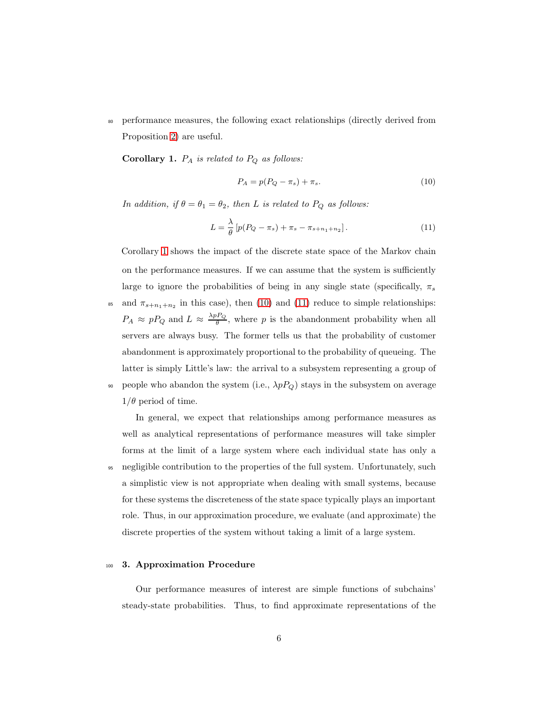<sup>80</sup> performance measures, the following exact relationships (directly derived from Proposition [2\)](#page-4-0) are useful.

<span id="page-5-0"></span>**Corollary 1.**  $P_A$  is related to  $P_Q$  as follows:

<span id="page-5-2"></span><span id="page-5-1"></span>
$$
P_A = p(P_Q - \pi_s) + \pi_s. \tag{10}
$$

In addition, if  $\theta = \theta_1 = \theta_2$ , then L is related to  $P_Q$  as follows:

$$
L = \frac{\lambda}{\theta} \left[ p(P_Q - \pi_s) + \pi_s - \pi_{s+n_1+n_2} \right]. \tag{11}
$$

Corollary [1](#page-5-0) shows the impact of the discrete state space of the Markov chain on the performance measures. If we can assume that the system is sufficiently large to ignore the probabilities of being in any single state (specifically,  $\pi_s$ 

<sup>85</sup> and  $\pi_{s+n_1+n_2}$  in this case), then [\(10\)](#page-5-1) and [\(11\)](#page-5-2) reduce to simple relationships:  $P_A \approx pP_Q$  and  $L \approx \frac{\lambda_p P_Q}{\theta}$  $\frac{\partial FQ}{\partial \theta}$ , where p is the abandonment probability when all servers are always busy. The former tells us that the probability of customer abandonment is approximately proportional to the probability of queueing. The latter is simply Little's law: the arrival to a subsystem representing a group of 90 people who abandon the system (i.e.,  $\lambda p P_Q$ ) stays in the subsystem on average  $1/\theta$  period of time.

In general, we expect that relationships among performance measures as well as analytical representations of performance measures will take simpler forms at the limit of a large system where each individual state has only a <sup>95</sup> negligible contribution to the properties of the full system. Unfortunately, such a simplistic view is not appropriate when dealing with small systems, because for these systems the discreteness of the state space typically plays an important role. Thus, in our approximation procedure, we evaluate (and approximate) the discrete properties of the system without taking a limit of a large system.

#### <sup>100</sup> 3. Approximation Procedure

Our performance measures of interest are simple functions of subchains' steady-state probabilities. Thus, to find approximate representations of the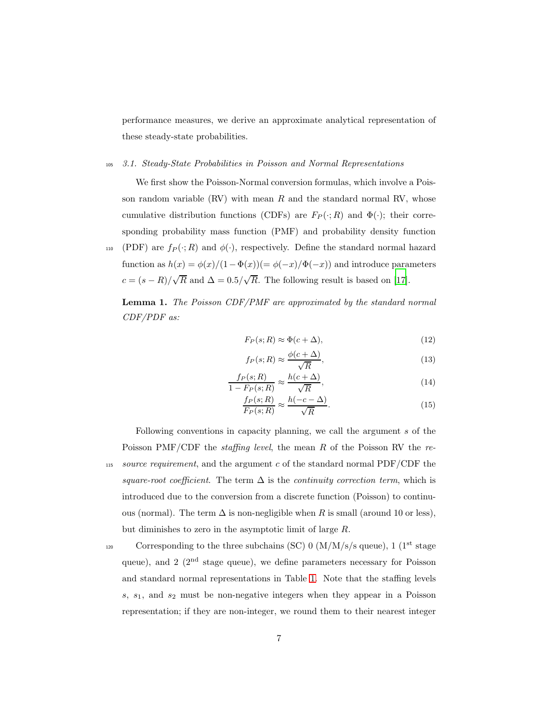performance measures, we derive an approximate analytical representation of these steady-state probabilities.

#### <sup>105</sup> 3.1. Steady-State Probabilities in Poisson and Normal Representations

We first show the Poisson-Normal conversion formulas, which involve a Poisson random variable  $(RV)$  with mean R and the standard normal RV, whose cumulative distribution functions (CDFs) are  $F_P(\cdot; R)$  and  $\Phi(\cdot)$ ; their corresponding probability mass function (PMF) and probability density function 110 (PDF) are  $f_P(\cdot;R)$  and  $\phi(\cdot)$ , respectively. Define the standard normal hazard

function as  $h(x) = \phi(x)/(1-\Phi(x)) = \phi(-x)/\Phi(-x)$  and introduce parameters  $c = (s - R)/\sqrt{R}$  and  $\Delta = 0.5/\sqrt{R}$ . The following result is based on [\[17](#page-20-11)].

<span id="page-6-0"></span>Lemma 1. The Poisson CDF/PMF are approximated by the standard normal CDF/PDF as:

<span id="page-6-2"></span><span id="page-6-1"></span>
$$
F_P(s;R) \approx \Phi(c+\Delta),\tag{12}
$$

<span id="page-6-4"></span><span id="page-6-3"></span>
$$
f_P(s;R) \approx \frac{\phi(c+\Delta)}{\sqrt{R}},\tag{13}
$$

$$
\frac{f_P(s;R)}{1 - F_P(s;R)} \approx \frac{h(c+\Delta)}{\sqrt{R}},\tag{14}
$$

$$
\frac{f_P(s;R)}{F_P(s;R)} \approx \frac{h(-c-\Delta)}{\sqrt{R}}.\tag{15}
$$

Following conventions in capacity planning, we call the argument s of the Poisson PMF/CDF the *staffing level*, the mean R of the Poisson RV the re- $115$  source requirement, and the argument c of the standard normal PDF/CDF the square-root coefficient. The term  $\Delta$  is the continuity correction term, which is introduced due to the conversion from a discrete function (Poisson) to continuous (normal). The term  $\Delta$  is non-negligible when R is small (around 10 or less), but diminishes to zero in the asymptotic limit of large R.

 $\alpha$  Corresponding to the three subchains (SC) 0 (M/M/s/s queue), 1 (1<sup>st</sup> stage queue), and  $2 \left(2^{nd} \text{ stage queue}\right)$ , we define parameters necessary for Poisson and standard normal representations in Table [1.](#page-7-0) Note that the staffing levels  $s, s<sub>1</sub>,$  and  $s<sub>2</sub>$  must be non-negative integers when they appear in a Poisson representation; if they are non-integer, we round them to their nearest integer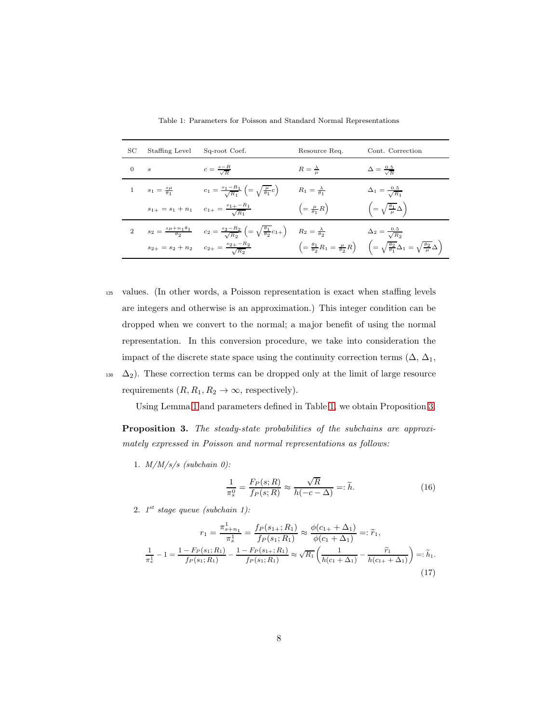| SС          | Staffing Level                  | Sq-root Coef.                                                                                                                                                                  | Resource Req.                             | Cont. Correction                                                                                                                                                         |
|-------------|---------------------------------|--------------------------------------------------------------------------------------------------------------------------------------------------------------------------------|-------------------------------------------|--------------------------------------------------------------------------------------------------------------------------------------------------------------------------|
| $0 \quad s$ |                                 | $c = \frac{s - R}{\sqrt{R}}$                                                                                                                                                   | $R=\frac{\lambda}{\mu}$                   | $\Delta = \frac{0.5}{\sqrt{R}}$                                                                                                                                          |
|             | 1 $s_1 = \frac{s\mu}{\theta_1}$ | $c_1 = \frac{s_1 - R_1}{\sqrt{R_1}} \left( = \sqrt{\frac{\mu}{\theta_1}} c \right)$                                                                                            | $R_1 = \frac{\lambda}{\theta_1}$          | $\Delta_1 = \frac{0.5}{\sqrt{R_1}}$                                                                                                                                      |
|             |                                 | $s_{1+} = s_1 + n_1$ $c_{1+} = \frac{s_{1+} - R_1}{\sqrt{R_1}}$                                                                                                                | $\left( = \frac{\mu}{\theta_1} R \right)$ | $\left(=\sqrt{\frac{\theta_1}{\mu}}\Delta\right)$                                                                                                                        |
|             |                                 | 2 $s_2 = \frac{s \mu + n_1 \theta_1}{\theta_2}$ $c_2 = \frac{s_2 - R_2}{\sqrt{R_2}} \left( = \sqrt{\frac{\theta_1}{\theta_2}} c_{1+} \right)$ $R_2 = \frac{\lambda}{\theta_2}$ |                                           | $\Delta_2 = \frac{0.5}{\sqrt{R_2}}$                                                                                                                                      |
|             |                                 | $s_{2+} = s_2 + n_2$ $c_{2+} = \frac{s_{2+} - \kappa_2}{\sqrt{B_2}}$                                                                                                           |                                           | $\left(=\frac{\theta_1}{\theta_2}R_1=\frac{\mu}{\theta_2}R\right)\hspace{.2 in}\left(=\sqrt{\frac{\theta_2}{\theta_1}}\Delta_1=\sqrt{\frac{\theta_2}{\mu}}\Delta\right)$ |

<span id="page-7-0"></span>Table 1: Parameters for Poisson and Standard Normal Representations

- <sup>125</sup> values. (In other words, a Poisson representation is exact when staffing levels are integers and otherwise is an approximation.) This integer condition can be dropped when we convert to the normal; a major benefit of using the normal representation. In this conversion procedure, we take into consideration the impact of the discrete state space using the continuity correction terms  $(\Delta, \Delta_1,$
- 130  $\Delta_2$ ). These correction terms can be dropped only at the limit of large resource requirements  $(R, R_1, R_2 \to \infty$ , respectively).

Using Lemma [1](#page-6-0) and parameters defined in Table [1,](#page-7-0) we obtain Proposition [3.](#page-7-1)

<span id="page-7-1"></span>Proposition 3. The steady-state probabilities of the subchains are approximately expressed in Poisson and normal representations as follows:

1.  $M/M/s/s$  (subchain 0):

<span id="page-7-3"></span><span id="page-7-2"></span>
$$
\frac{1}{\pi_s^0} = \frac{F_P(s;R)}{f_P(s;R)} \approx \frac{\sqrt{R}}{h(-c-\Delta)} =: \tilde{h}.
$$
 (16)

2.  $1^{st}$  stage queue (subchain 1):

$$
r_1 = \frac{\pi_{s+n_1}^1}{\pi_s^1} = \frac{f_P(s_{1+}; R_1)}{f_P(s_1; R_1)} \approx \frac{\phi(c_{1+} + \Delta_1)}{\phi(c_1 + \Delta_1)} =: \tilde{r}_1,
$$
  

$$
\frac{1}{\pi_s^1} - 1 = \frac{1 - F_P(s_1; R_1)}{f_P(s_1; R_1)} - \frac{1 - F_P(s_{1+}; R_1)}{f_P(s_1; R_1)} \approx \sqrt{R_1} \left(\frac{1}{h(c_1 + \Delta_1)} - \frac{\tilde{r}_1}{h(c_{1+} + \Delta_1)}\right) =: \tilde{h}_1.
$$
\n(17)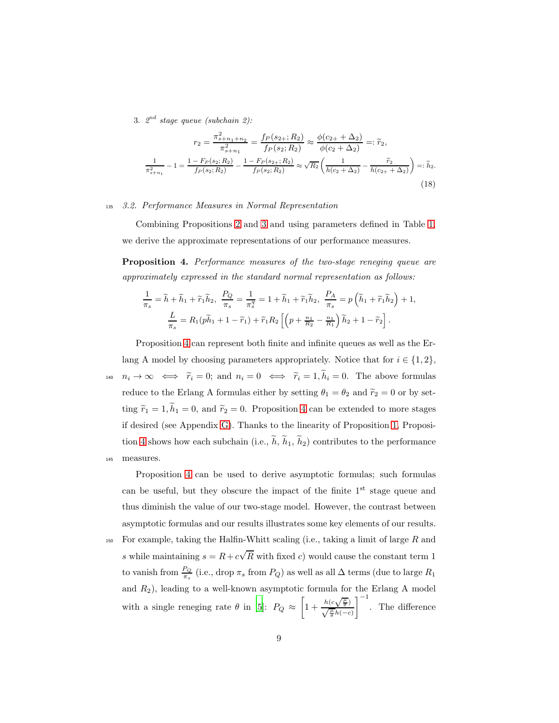3.  $2^{nd}$  stage queue (subchain 2):

<span id="page-8-1"></span>
$$
r_2 = \frac{\pi_{s+n_1+n_2}^2}{\pi_{s+n_1}^2} = \frac{f_P(s_2, R_2)}{f_P(s_2; R_2)} \approx \frac{\phi(c_2 + \Delta_2)}{\phi(c_2 + \Delta_2)} =: \tilde{r}_2,
$$
  

$$
\frac{1}{\pi_{s+n_1}^2} - 1 = \frac{1 - F_P(s_2; R_2)}{f_P(s_2; R_2)} - \frac{1 - F_P(s_2; R_2)}{f_P(s_2; R_2)} \approx \sqrt{R_2} \left(\frac{1}{h(c_2 + \Delta_2)} - \frac{\tilde{r}_2}{h(c_2 + \Delta_2)}\right) =: \tilde{h}_2.
$$
(18)

# <sup>135</sup> 3.2. Performance Measures in Normal Representation

Combining Propositions [2](#page-4-0) and [3](#page-7-1) and using parameters defined in Table [1,](#page-7-0) we derive the approximate representations of our performance measures.

<span id="page-8-0"></span>Proposition 4. Performance measures of the two-stage reneging queue are approximately expressed in the standard normal representation as follows:

$$
\frac{1}{\pi_s} = \widetilde{h} + \widetilde{h}_1 + \widetilde{r}_1 \widetilde{h}_2, \ \frac{P_Q}{\pi_s} = \frac{1}{\pi_s^q} = 1 + \widetilde{h}_1 + \widetilde{r}_1 \widetilde{h}_2, \ \frac{P_A}{\pi_s} = p\left(\widetilde{h}_1 + \widetilde{r}_1 \widetilde{h}_2\right) + 1,
$$
\n
$$
\frac{L}{\pi_s} = R_1(p\widetilde{h}_1 + 1 - \widetilde{r}_1) + \widetilde{r}_1 R_2\left[\left(p + \frac{n_1}{R_2} - \frac{n_1}{R_1}\right)\widetilde{h}_2 + 1 - \widetilde{r}_2\right].
$$

Proposition [4](#page-8-0) can represent both finite and infinite queues as well as the Erlang A model by choosing parameters appropriately. Notice that for  $i \in \{1, 2\}$ ,  $n_i \to \infty \iff \tilde{r}_i = 0;$  and  $n_i = 0 \iff \tilde{r}_i = 1, \tilde{h}_i = 0.$  The above formulas reduce to the Erlang A formulas either by setting  $\theta_1 = \theta_2$  and  $\tilde{r}_2 = 0$  or by setting  $\tilde{r}_1 = 1, \tilde{h}_1 = 0$ , and  $\tilde{r}_2 = 0$ . Proposition [4](#page-8-0) can be extended to more stages if desired (see Appendix [G\)](#page-19-5). Thanks to the linearity of Proposition [1,](#page-3-0) Proposi-tion [4](#page-8-0) shows how each subchain (i.e.,  $\tilde{h}$ ,  $\tilde{h}_1$ ,  $\tilde{h}_2$ ) contributes to the performance <sup>145</sup> measures.

Proposition [4](#page-8-0) can be used to derive asymptotic formulas; such formulas can be useful, but they obscure the impact of the finite  $1<sup>st</sup>$  stage queue and thus diminish the value of our two-stage model. However, the contrast between asymptotic formulas and our results illustrates some key elements of our results.

150 For example, taking the Halfin-Whitt scaling (i.e., taking a limit of large  $R$  and s while maintaining  $s = R + c\sqrt{R}$  with fixed c) would cause the constant term 1 to vanish from  $\frac{P_Q}{\pi_s}$  (i.e., drop  $\pi_s$  from  $P_Q$ ) as well as all  $\Delta$  terms (due to large  $R_1$ and  $R_2$ ), leading to a well-known asymptotic formula for the Erlang A model with a single reneging rate  $\theta$  in [\[5](#page-19-4)]:  $P_Q \approx$  $\left[1+\frac{h(c\sqrt{\frac{\mu}{\theta}})}{\sqrt{\frac{\mu}{\theta}}h(-c)}\right]$  $1^{-1}$ . The difference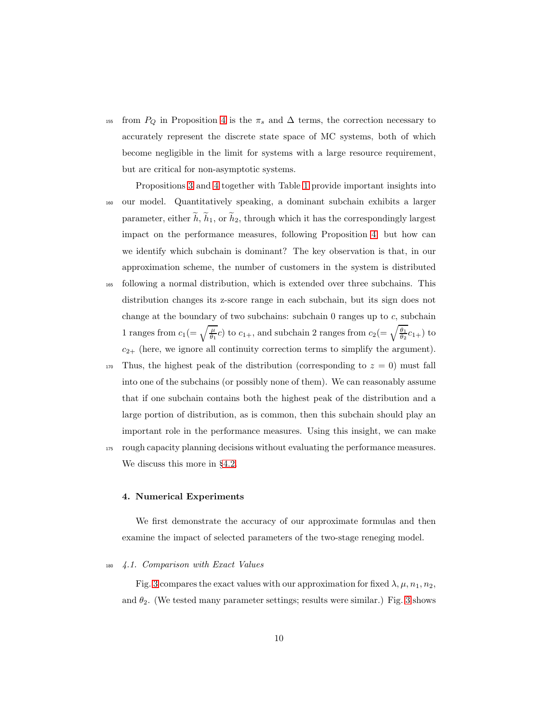<sup>155</sup> from  $P_Q$  in Proposition [4](#page-8-0) is the  $\pi_s$  and  $\Delta$  terms, the correction necessary to accurately represent the discrete state space of MC systems, both of which become negligible in the limit for systems with a large resource requirement, but are critical for non-asymptotic systems.

Propositions [3](#page-7-1) and [4](#page-8-0) together with Table [1](#page-7-0) provide important insights into <sup>160</sup> our model. Quantitatively speaking, a dominant subchain exhibits a larger parameter, either  $\tilde{h}$ ,  $\tilde{h}_1$ , or  $\tilde{h}_2$ , through which it has the correspondingly largest impact on the performance measures, following Proposition [4;](#page-8-0) but how can we identify which subchain is dominant? The key observation is that, in our approximation scheme, the number of customers in the system is distributed <sup>165</sup> following a normal distribution, which is extended over three subchains. This distribution changes its z-score range in each subchain, but its sign does not change at the boundary of two subchains: subchain  $0$  ranges up to  $c$ , subchain

1 ranges from  $c_1 (= \sqrt{\frac{\mu}{\theta_1}}c)$  to  $c_{1+}$ , and subchain 2 ranges from  $c_2 (= \sqrt{\frac{\theta_1}{\theta_2}}c_{1+})$  to  $c_{2+}$  (here, we ignore all continuity correction terms to simplify the argument).

- $170$  Thus, the highest peak of the distribution (corresponding to  $z = 0$ ) must fall into one of the subchains (or possibly none of them). We can reasonably assume that if one subchain contains both the highest peak of the distribution and a large portion of distribution, as is common, then this subchain should play an important role in the performance measures. Using this insight, we can make
- <sup>175</sup> rough capacity planning decisions without evaluating the performance measures. We discuss this more in §[4.2.](#page-13-0)

# 4. Numerical Experiments

We first demonstrate the accuracy of our approximate formulas and then examine the impact of selected parameters of the two-stage reneging model.

## <sup>180</sup> 4.1. Comparison with Exact Values

Fig. [3](#page-10-0) compares the exact values with our approximation for fixed  $\lambda, \mu, n_1, n_2$ , and  $\theta_2$ . (We tested many parameter settings; results were similar.) Fig. [3](#page-10-0) shows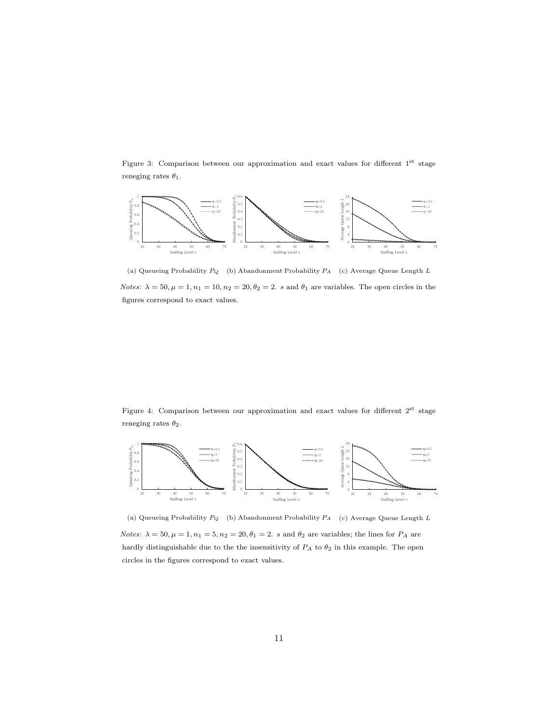<span id="page-10-0"></span>Figure 3: Comparison between our approximation and exact values for different 1st stage reneging rates  $\theta_1$ .



(a) Queueing Probability  $P_Q$  (b) Abandonment Probability  $P_A$  (c) Average Queue Length L Notes:  $\lambda = 50, \mu = 1, n_1 = 10, n_2 = 20, \theta_2 = 2$ . s and  $\theta_1$  are variables. The open circles in the figures correspond to exact values.

<span id="page-10-1"></span>Figure 4: Comparison between our approximation and exact values for different  $2^{st}$  stage reneging rates  $\theta_2$ .



(a) Queueing Probability  $P_Q$  (b) Abandonment Probability  $P_A$  (c) Average Queue Length L Notes:  $\lambda = 50, \mu = 1, n_1 = 5, n_2 = 20, \theta_1 = 2$ . s and  $\theta_2$  are variables; the lines for  $P_A$  are hardly distinguishable due to the the insensitivity of  $P_A$  to  $\theta_2$  in this example. The open circles in the figures correspond to exact values.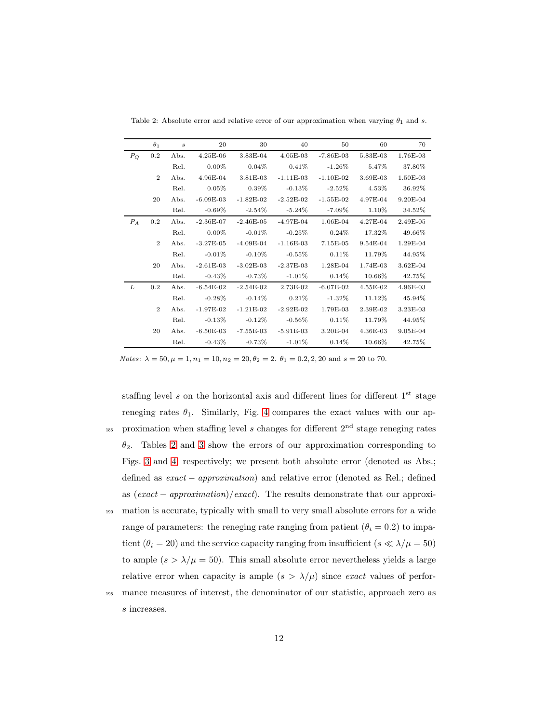|         | $\theta_1$     | $\boldsymbol{s}$ | 20                                                    | 30          | 40                   | 50                   | 60                  | 70           |
|---------|----------------|------------------|-------------------------------------------------------|-------------|----------------------|----------------------|---------------------|--------------|
| $P_{O}$ | 0.2            | Abs.             | $4.25E-06$                                            | $3.83E-04$  | $4.05E-03$           | $-7.86E-03$          | 5.83E-03            | 1.76E-03     |
|         |                | Rel.             | $0.00\%$                                              | $0.04\%$    | $0.41\%$             | $-1.26\%$            | 5.47%               | 37.80%       |
|         | $\overline{2}$ | Abs.             | 4.96E-04                                              |             | $3.81E-03 -1.11E-03$ | $-1.10E-02$          | $3.69E-03$          | 1.50E-03     |
|         |                | Rel.             | $0.05\%$                                              | $0.39\%$    | $-0.13\%$            | $-2.52\%$            | $4.53\%$            | 36.92%       |
|         | 20             |                  | Abs. -6.09E-03 -1.82E-02 -2.52E-02 -1.55E-02 4.97E-04 |             |                      |                      |                     | $9.20E-04$   |
|         |                | Rel.             | $-0.69\%$                                             | $-2.54\%$   | $-5.24\%$            | $-7.09\%$            | $1.10\%$            | 34.52%       |
| $P_A$   | $0.2\,$        |                  | Abs. -2.36E-07 -2.46E-05 -4.97E-04 1.06E-04 4.27E-04  |             |                      |                      |                     | 2.49E-05     |
|         |                | Rel.             | $0.00\%$                                              | $-0.01\%$   | $-0.25\%$            | $0.24\%$             | $17.32\%$ $49.66\%$ |              |
|         | $\overline{2}$ | Abs.             | $-3.27E-05$                                           | -4.09E-04   |                      | $-1.16E-03$ 7.15E-05 | $9.54E-04$          | $1.29E-04$   |
|         |                | Rel.             | $-0.01\%$                                             | $-0.10\%$   | $-0.55\%$            | $0.11\%$             | 11.79%              | $44.95\%$    |
|         | 20             | Abs.             | $-2.61E-03$                                           | $-3.02E-03$ | -2.37E-03            | $1.28E-04$           | 1.74E-03            | $3.62E - 04$ |
|         |                | Rel.             | $-0.43\%$                                             | -0.73 $\%$  | $-1.01\%$            | $0.14\%$             | $10.66\%$           | $42.75\%$    |
| L       | 0.2            | Abs.             | -6.54 $E$ -02                                         | $-2.54E-02$ | $2.73E-02$           | $-6.07E-02$          | $4.55E-02$          | $4.96E-03$   |
|         |                | Rel.             | $-0.28\%$                                             | $-0.14%$    | $0.21\%$             | $-1.32\%$            | $11.12\%$           | $45.94\%$    |
|         | $\overline{2}$ | Abs.             | $-1.97E-02$                                           | $-1.21E-02$ | $-2.92E-02$          | 1.79E-03             | 2.39E-02            | 3.23E-03     |
|         |                | Rel.             | $-0.13\%$                                             | $-0.12\%$   | $-0.56\%$            | $0.11\%$             | $11.79\%$           | $44.95\%$    |
|         | 20             | Abs.             | $-6.50E-03$                                           |             | -7.55E-03 -5.91E-03  | $3.20E-04$           | $4.36E-03$          | $9.05E-04$   |
|         |                | Rel.             | $-0.43\%$                                             | $-0.73\%$   | $-1.01\%$            | $0.14\%$             | $10.66\%$           | $42.75\%$    |

<span id="page-11-0"></span>Table 2: Absolute error and relative error of our approximation when varying  $\theta_1$  and s.

Notes:  $\lambda = 50, \mu = 1, n_1 = 10, n_2 = 20, \theta_2 = 2. \theta_1 = 0.2, 2, 20 \text{ and } s = 20 \text{ to } 70.$ 

- staffing level  $s$  on the horizontal axis and different lines for different  $1<sup>st</sup>$  stage reneging rates  $\theta_1$ . Similarly, Fig. [4](#page-10-1) compares the exact values with our ap-<sup>185</sup> proximation when staffing level s changes for different  $2<sup>nd</sup>$  stage reneging rates  $\theta_2$ . Tables [2](#page-11-0) and [3](#page-12-0) show the errors of our approximation corresponding to Figs. [3](#page-10-0) and [4,](#page-10-1) respectively; we present both absolute error (denoted as Abs.; defined as exact − approximation) and relative error (denoted as Rel.; defined as  $(exact - approximation)/exact$ ). The results demonstrate that our approxi-<sup>190</sup> mation is accurate, typically with small to very small absolute errors for a wide range of parameters: the reneging rate ranging from patient ( $\theta_i = 0.2$ ) to impatient ( $\theta_i = 20$ ) and the service capacity ranging from insufficient ( $s \ll \lambda/\mu = 50$ ) to ample  $(s > \lambda/\mu = 50)$ . This small absolute error nevertheless yields a large relative error when capacity is ample  $(s > \lambda/\mu)$  since exact values of perfor-
- <sup>195</sup> mance measures of interest, the denominator of our statistic, approach zero as s increases.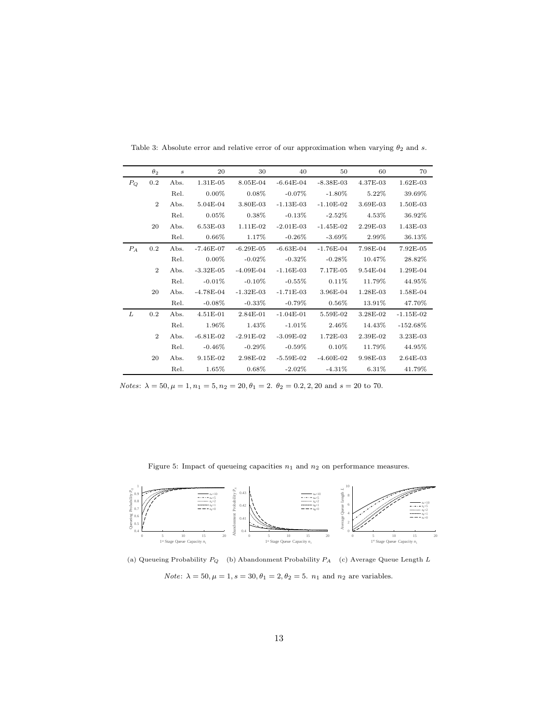|         | $\theta_2$     |      | $\sim$ 20                                             | 30               | 40                           | 50                    | 60         | 70          |
|---------|----------------|------|-------------------------------------------------------|------------------|------------------------------|-----------------------|------------|-------------|
| $P_{O}$ | $0.2\,$        | Abs. | $1.31E-05$                                            |                  | 8.05E-04 -6.64E-04 -8.38E-03 |                       | $4.37E-03$ | $1.62E-03$  |
|         |                | Rel. | $0.00\%$                                              | $0.08\%$         | $-0.07\%$                    | $-1.80\%$ 5.22\%      |            | 39.69%      |
|         | $\overline{2}$ |      | Abs. 5.04E-04 3.80E-03 -1.13E-03 -1.10E-02 3.69E-03   |                  |                              |                       |            | $1.50E-03$  |
|         |                | Rel. | $0.05\%$                                              | $0.38\%$         | -0.13 $\%$                   | $-2.52\%$ 4.53%       |            | $36.92\%$   |
|         | 20             |      | Abs. 6.53E-03 1.11E-02 -2.01E-03 -1.45E-02 2.29E-03   |                  |                              |                       |            | 1.43E-03    |
|         |                | Rel. | $0.66\%$                                              | $1.17\%$         | -0.26 $\%$                   | $-3.69\%$ 2.99%       |            | 36.13%      |
| $P_A$   | $0.2\,$        |      | Abs. -7.46E-07 -6.29E-05 -6.63E-04 -1.76E-04 7.98E-04 |                  |                              |                       |            | 7.92E-05    |
|         |                | Rel. | $0.00\%$                                              | -0.02 $\%$       | $-0.32\%$                    | $-0.28\%$ 10.47%      |            | 28.82%      |
|         | $\overline{2}$ |      | Abs. -3.32E-05 -4.09E-04 -1.16E-03 7.17E-05           |                  |                              |                       | $9.54E-04$ | 1.29E-04    |
|         |                | Rel. | -0.01 $\%$                                            | $-0.10\%$        | $-0.55\%$                    | $0.11\%$ 11.79%       |            | 44.95%      |
|         | 20             |      | Abs. -4.78E-04 -1.32E-03 -1.71E-03 3.96E-04 1.28E-03  |                  |                              |                       |            | $1.58E-04$  |
|         |                | Rel. | $-0.08\%$ $-0.33\%$                                   |                  | $-0.79\%$                    | $0.56\%$ 13.91%       |            | $47.70\%$   |
| L       | $0.2\,$        |      | Abs. 4.51E-01 2.84E-01 -1.04E-01                      |                  |                              | $5.59E-02$ $3.28E-02$ |            | $-1.15E-02$ |
|         |                | Rel. | $1.96\%$                                              | $1.43\%$         | $-1.01\%$                    | $2.46\%$ 14.43%       |            | $-152.68\%$ |
|         | $\overline{2}$ | Abs. | $-6.81E-02$                                           | $-2.91E-02$      | $-3.09E-02$                  | 1.72E-03              | $2.39E-02$ | $3.23E-03$  |
|         |                | Rel. | $-0.46\%$                                             | $-0.29\%$        | -0.59 $\%$                   | $0.10\%$              | $11.79\%$  | $44.95\%$   |
|         | 20             |      | Abs. 9.15E-02 2.98E-02 -5.59E-02 -4.60E-02            |                  |                              |                       | $9.98E-03$ | $2.64E-03$  |
|         |                | Rel. | $1.65\%$                                              | $0.68\%$ -2.02\% |                              | $-4.31\%$ 6.31\%      |            | $41.79\%$   |

<span id="page-12-0"></span>Table 3: Absolute error and relative error of our approximation when varying  $\theta_2$  and s.

Notes:  $\lambda = 50, \mu = 1, n_1 = 5, n_2 = 20, \theta_1 = 2.$   $\theta_2 = 0.2, 2, 20$  and  $s = 20$  to 70.

<span id="page-12-1"></span>Figure 5: Impact of queueing capacities  $n_1$  and  $n_2$  on performance measures.



(a) Queueing Probability  $P_Q$  (b) Abandonment Probability  $P_A$  (c) Average Queue Length L  $Note: \, \lambda=50, \mu=1, s=30, \theta_1=2, \theta_2=5.\, \, n_1$  and  $n_2$  are variables.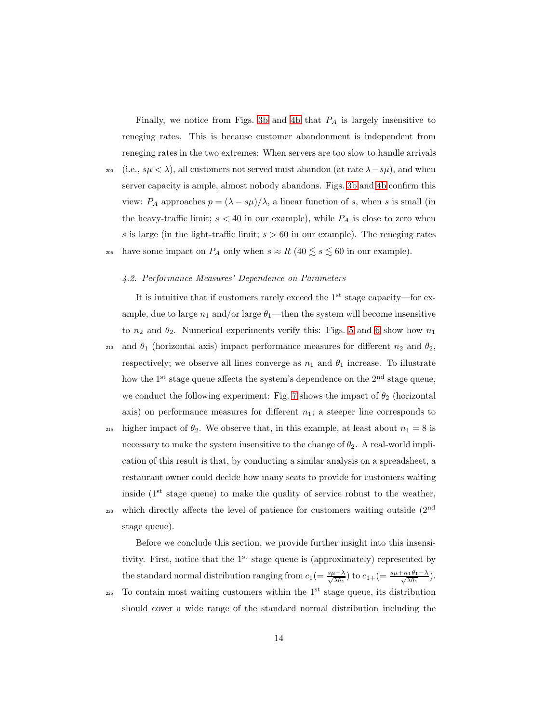Finally, we notice from Figs. [3b](#page-10-0) and [4b](#page-10-1) that  $P_A$  is largely insensitive to reneging rates. This is because customer abandonment is independent from reneging rates in the two extremes: When servers are too slow to handle arrivals 200 (i.e.,  $s\mu < \lambda$ ), all customers not served must abandon (at rate  $\lambda - s\mu$ ), and when server capacity is ample, almost nobody abandons. Figs. [3b](#page-10-0) and [4b](#page-10-1) confirm this

view:  $P_A$  approaches  $p = (\lambda - s\mu)/\lambda$ , a linear function of s, when s is small (in the heavy-traffic limit;  $s < 40$  in our example), while  $P_A$  is close to zero when s is large (in the light-traffic limit;  $s > 60$  in our example). The reneging rates 205 have some impact on  $P_A$  only when  $s \approx R$  (40  $\lesssim s \lesssim 60$  in our example).

#### <span id="page-13-0"></span>4.2. Performance Measures' Dependence on Parameters

It is intuitive that if customers rarely exceed the  $1<sup>st</sup>$  stage capacity—for example, due to large  $n_1$  and/or large  $\theta_1$ —then the system will become insensitive to  $n_2$  and  $\theta_2$ . Numerical experiments verify this: Figs. [5](#page-12-1) and [6](#page-14-0) show how  $n_1$ 210 and  $\theta_1$  (horizontal axis) impact performance measures for different  $n_2$  and  $\theta_2$ , respectively; we observe all lines converge as  $n_1$  and  $\theta_1$  increase. To illustrate how the  $1^{st}$  stage queue affects the system's dependence on the  $2^{nd}$  stage queue, we conduct the following experiment: Fig. [7](#page-14-1) shows the impact of  $\theta_2$  (horizontal axis) on performance measures for different  $n_1$ ; a steeper line corresponds to 215 higher impact of  $\theta_2$ . We observe that, in this example, at least about  $n_1 = 8$  is necessary to make the system insensitive to the change of  $\theta_2$ . A real-world impli-

cation of this result is that, by conducting a similar analysis on a spreadsheet, a restaurant owner could decide how many seats to provide for customers waiting inside  $(1<sup>st</sup> stage queue)$  to make the quality of service robust to the weather, which directly affects the level of patience for customers waiting outside (2nd 220 stage queue).

Before we conclude this section, we provide further insight into this insensitivity. First, notice that the  $1<sup>st</sup>$  stage queue is (approximately) represented by the standard normal distribution ranging from  $c_1 = \frac{s\mu - \lambda}{\sqrt{\lambda\theta_1}}$  to  $c_{1+} = \frac{s\mu + n_1\theta_1 - \lambda}{\sqrt{\lambda\theta_1}}$ .

 $225$  To contain most waiting customers within the 1<sup>st</sup> stage queue, its distribution should cover a wide range of the standard normal distribution including the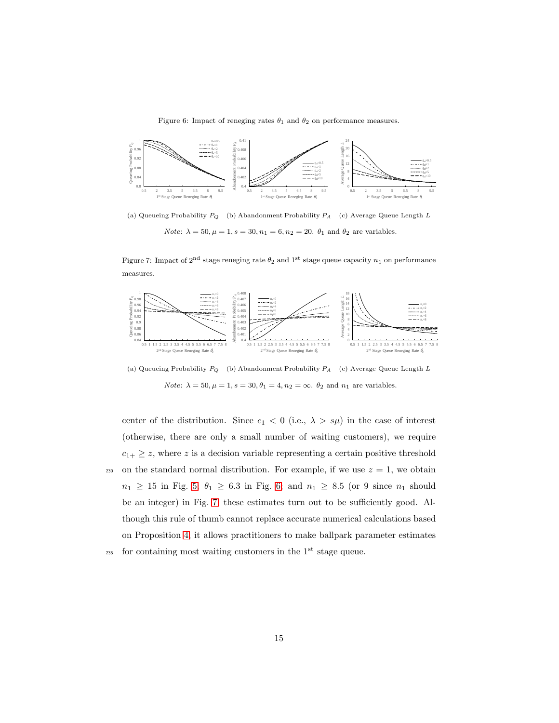Figure 6: Impact of reneging rates  $\theta_1$  and  $\theta_2$  on performance measures.

<span id="page-14-0"></span>

<span id="page-14-1"></span>(a) Queueing Probability  $P_Q$  (b) Abandonment Probability  $P_A$  (c) Average Queue Length L *Note:*  $\lambda = 50, \mu = 1, s = 30, n_1 = 6, n_2 = 20. \theta_1$  and  $\theta_2$  are variables.

Figure 7: Impact of 2<sup>nd</sup> stage reneging rate  $\theta_2$  and 1<sup>st</sup> stage queue capacity  $n_1$  on performance measures.



(a) Queueing Probability  $P_Q$  (b) Abandonment Probability  $P_A$  (c) Average Queue Length L *Note:*  $\lambda = 50, \mu = 1, s = 30, \theta_1 = 4, n_2 = \infty$ .  $\theta_2$  and  $n_1$  are variables.

center of the distribution. Since  $c_1 < 0$  (i.e.,  $\lambda > s\mu$ ) in the case of interest (otherwise, there are only a small number of waiting customers), we require  $c_{1+} \geq z$ , where z is a decision variable representing a certain positive threshold 230 on the standard normal distribution. For example, if we use  $z = 1$ , we obtain  $n_1 \geq 15$  in Fig. [5;](#page-12-1)  $\theta_1 \geq 6.3$  in Fig. [6;](#page-14-0) and  $n_1 \geq 8.5$  (or 9 since  $n_1$  should be an integer) in Fig. [7;](#page-14-1) these estimates turn out to be sufficiently good. Although this rule of thumb cannot replace accurate numerical calculations based on Proposition [4,](#page-8-0) it allows practitioners to make ballpark parameter estimates  $_{235}$  for containing most waiting customers in the 1<sup>st</sup> stage queue.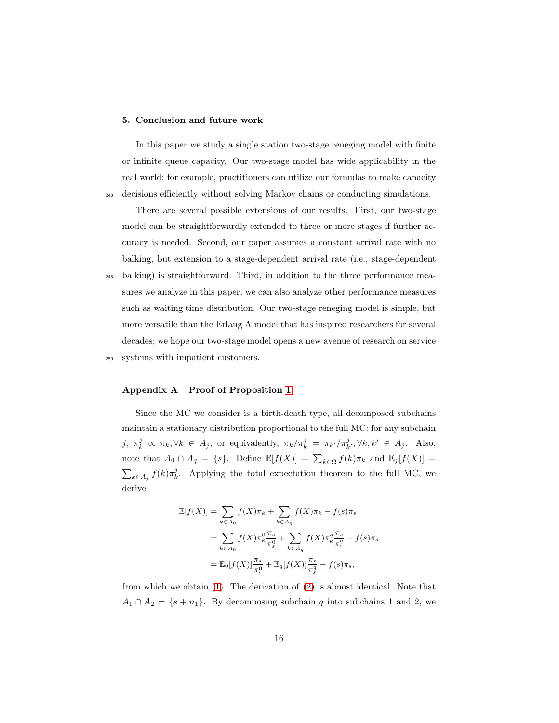#### 5. Conclusion and future work

In this paper we study a single station two-stage reneging model with finite or infinite queue capacity. Our two-stage model has wide applicability in the real world; for example, practitioners can utilize our formulas to make capacity <sup>240</sup> decisions efficiently without solving Markov chains or conducting simulations.

There are several possible extensions of our results. First, our two-stage model can be straightforwardly extended to three or more stages if further accuracy is needed. Second, our paper assumes a constant arrival rate with no balking, but extension to a stage-dependent arrival rate (i.e., stage-dependent

<sup>245</sup> balking) is straightforward. Third, in addition to the three performance measures we analyze in this paper, we can also analyze other performance measures such as waiting time distribution. Our two-stage reneging model is simple, but more versatile than the Erlang A model that has inspired researchers for several decades; we hope our two-stage model opens a new avenue of research on service

# <sup>250</sup> systems with impatient customers.

## Appendix A Proof of Proposition [1](#page-3-0)

Since the MC we consider is a birth-death type, all decomposed subchains maintain a stationary distribution proportional to the full MC: for any subchain j,  $\pi_k^j \propto \pi_k, \forall k \in A_j$ , or equivalently,  $\pi_k/\pi_k^j = \pi_{k'}/\pi_{k'}^j, \forall k, k' \in A_j$ . Also, note that  $A_0 \cap A_q = \{s\}$ . Define  $\mathbb{E}[f(X)] = \sum_{k \in \Omega} f(k)\pi_k$  and  $\mathbb{E}_j[f(X)] =$  $\sum_{k\in A_j} f(k) \pi_k^j$ . Applying the total expectation theorem to the full MC, we derive

$$
\mathbb{E}[f(X)] = \sum_{k \in A_0} f(X)\pi_k + \sum_{k \in A_q} f(X)\pi_k - f(s)\pi_s
$$
  
= 
$$
\sum_{k \in A_0} f(X)\pi_k^0 \frac{\pi_s}{\pi_s^0} + \sum_{k \in A_q} f(X)\pi_k^q \frac{\pi_s}{\pi_s^q} - f(s)\pi_s
$$
  
= 
$$
\mathbb{E}_0[f(X)] \frac{\pi_s}{\pi_s^0} + \mathbb{E}_q[f(X)] \frac{\pi_s}{\pi_s^q} - f(s)\pi_s,
$$

from which we obtain [\(1\)](#page-3-1). The derivation of [\(2\)](#page-3-2) is almost identical. Note that  $A_1 \cap A_2 = \{s + n_1\}.$  By decomposing subchain q into subchains 1 and 2, we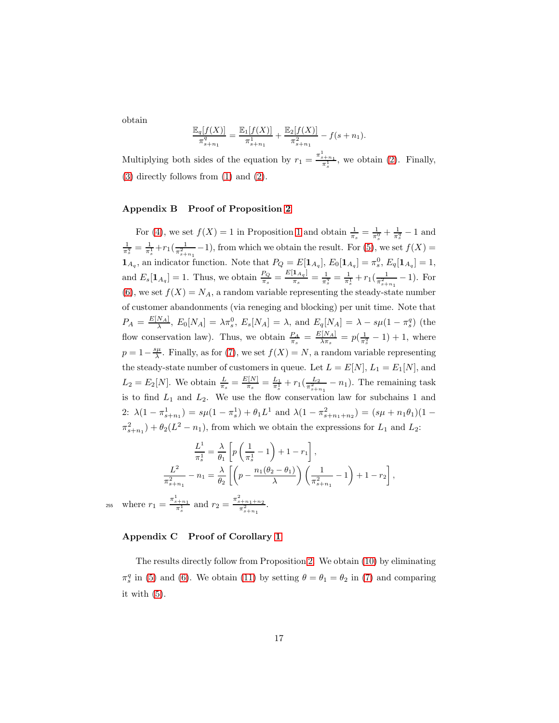obtain

$$
\frac{\mathbb{E}_q[f(X)]}{\pi_{s+n_1}^q} = \frac{\mathbb{E}_1[f(X)]}{\pi_{s+n_1}^1} + \frac{\mathbb{E}_2[f(X)]}{\pi_{s+n_1}^2} - f(s+n_1).
$$

Multiplying both sides of the equation by  $r_1 = \frac{\pi_{s+n_1}^1}{\pi_s^1}$ , we obtain [\(2\)](#page-3-2). Finally, [\(3\)](#page-4-3) directly follows from [\(1\)](#page-3-1) and [\(2\)](#page-3-2).

# Appendix B Proof of Proposition [2](#page-4-0)

For [\(4\)](#page-4-4), we set  $f(X) = 1$  $f(X) = 1$  in Proposition 1 and obtain  $\frac{1}{\pi_s} = \frac{1}{\pi_s^0} + \frac{1}{\pi_s^q} - 1$  and  $\frac{1}{\pi_s^q} = \frac{1}{\pi_s^1} + r_1(\frac{1}{\pi_{s+n_1}^2} - 1)$ , from which we obtain the result. For [\(5\)](#page-4-5), we set  $f(X) =$  $\mathbf{1}_{A_q}$ , an indicator function. Note that  $P_Q = E[\mathbf{1}_{A_q}], E_0[\mathbf{1}_{A_q}] = \pi_s^0$ ,  $E_q[\mathbf{1}_{A_q}] = 1$ , and  $E_s[\mathbf{1}_{A_q}] = 1$ . Thus, we obtain  $\frac{P_Q}{\pi_s} = \frac{E[\mathbf{1}_{A_q}]}{\pi_s}$  $\frac{\mathbf{I}_{A_q}}{\pi_s} = \frac{1}{\pi_s^q} = \frac{1}{\pi_s^1} + r_1(\frac{1}{\pi_{s+n_1}^2} - 1)$ . For [\(6\)](#page-4-6), we set  $f(X) = N_A$ , a random variable representing the steady-state number of customer abandonments (via reneging and blocking) per unit time. Note that  $P_A = \frac{E[N_A]}{\lambda}$ ,  $E_0[N_A] = \lambda \pi_s^0$ ,  $E_s[N_A] = \lambda$ , and  $E_q[N_A] = \lambda - s\mu(1 - \pi_s^q)$  (the flow conservation law). Thus, we obtain  $\frac{P_A}{\pi_s} = \frac{E[N_A]}{\lambda \pi_s}$  $\frac{N[N_A]}{\lambda \pi_s} = p(\frac{1}{\pi_s^q} - 1) + 1$ , where  $p = 1 - \frac{s\mu}{\lambda}$ . Finally, as for [\(7\)](#page-4-7), we set  $f(X) = N$ , a random variable representing the steady-state number of customers in queue. Let  $L = E[N], L_1 = E_1[N]$ , and  $L_2 = E_2[N]$ . We obtain  $\frac{L}{\pi_s} = \frac{E[N]}{\pi_s}$  $\frac{r_{1}[N]}{\pi_{s}^{2}} = \frac{L_{1}}{\pi_{s}^{2}} + r_{1}(\frac{L_{2}}{\pi_{s+n_{1}}^{2}} - n_{1}).$  The remaining task is to find  $L_1$  and  $L_2$ . We use the flow conservation law for subchains 1 and 2:  $\lambda(1 - \pi_{s+n_1}^1) = s\mu(1 - \pi_s^1) + \theta_1 L^1$  and  $\lambda(1 - \pi_{s+n_1+n_2}^2) = (s\mu + n_1\theta_1)(1 \pi_{s+n_1}^2$  +  $\theta_2(L^2 - n_1)$ , from which we obtain the expressions for  $L_1$  and  $L_2$ :

$$
\frac{L^1}{\pi_s^1} = \frac{\lambda}{\theta_1} \left[ p \left( \frac{1}{\pi_s^1} - 1 \right) + 1 - r_1 \right],
$$
  

$$
\frac{L^2}{\pi_{s+n_1}^2} - n_1 = \frac{\lambda}{\theta_2} \left[ \left( p - \frac{n_1(\theta_2 - \theta_1)}{\lambda} \right) \left( \frac{1}{\pi_{s+n_1}^2} - 1 \right) + 1 - r_2 \right],
$$
  

$$
= \frac{\pi_{s+n_1}^1}{\pi_{s+n_1}^1} \text{ and } r_2 = \frac{\pi_{s+n_1+n_2}^2}{\pi_{s+n_1}^2}
$$

 $255$  where  $r_1$ there  $r_1 = \frac{\pi_{s+n_1}^1}{\pi_s^1}$  and  $r_2 = \frac{\pi_{s+n_1+n_2}^2}{\pi_{s+n_1}^2}$ .

## Appendix C Proof of Corollary [1](#page-5-0)

The results directly follow from Proposition [2.](#page-4-0) We obtain [\(10\)](#page-5-1) by eliminating  $\pi_s^q$  in [\(5\)](#page-4-5) and [\(6\)](#page-4-6). We obtain [\(11\)](#page-5-2) by setting  $\theta = \theta_1 = \theta_2$  in [\(7\)](#page-4-7) and comparing it with  $(5)$ .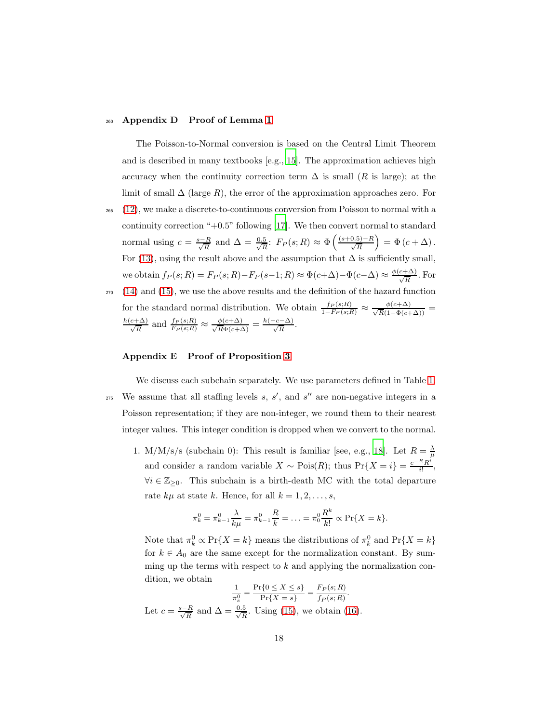#### <sup>260</sup> Appendix D Proof of Lemma [1](#page-6-0)

The Poisson-to-Normal conversion is based on the Central Limit Theorem and is described in many textbooks  $[e.g., 15]$  $[e.g., 15]$ . The approximation achieves high accuracy when the continuity correction term  $\Delta$  is small (R is large); at the limit of small  $\Delta$  (large R), the error of the approximation approaches zero. For

- <sup>265</sup> [\(12\)](#page-6-1), we make a discrete-to-continuous conversion from Poisson to normal with a continuity correction " $+0.5$ " following [\[17\]](#page-20-11). We then convert normal to standard normal using  $c = \frac{s - R}{\sqrt{R}}$  and  $\Delta = \frac{0.5}{\sqrt{R}}$  $\frac{5}{R}$ :  $F_P(s;R) \approx \Phi\left(\frac{(s+0.5)-R}{\sqrt{R}}\right)$  $= \Phi (c + \Delta).$ For [\(13\)](#page-6-2), using the result above and the assumption that  $\Delta$  is sufficiently small, we obtain  $f_P(s;R) = F_P(s;R) - F_P(s-1;R) \approx \Phi(c+\Delta) - \Phi(c-\Delta) \approx \frac{\phi(c+\Delta)}{\sqrt{R}}$ . For <sup>270</sup> [\(14\)](#page-6-3) and [\(15\)](#page-6-4), we use the above results and the definition of the hazard function
- for the standard normal distribution. We obtain  $\frac{f_P(s;R)}{1-F_P(s;R)} \approx \frac{\phi(c+\Delta)}{\sqrt{R}(1-\Phi(c+\Delta))} = \frac{h(c+\Delta)}{\sqrt{R}}$  and  $\frac{f_P(s;R)}{F_P(s;R)} \approx \frac{\phi(c+\Delta)}{\sqrt{R}\Phi(c+\Delta)} = \frac{h(-c-\Delta)}{\sqrt{R}}$ .

## Appendix E Proof of Proposition [3](#page-7-1)

We discuss each subchain separately. We use parameters defined in Table [1.](#page-7-0)  $_{275}$  We assume that all staffing levels s, s', and s'' are non-negative integers in a Poisson representation; if they are non-integer, we round them to their nearest integer values. This integer condition is dropped when we convert to the normal.

1. M/M/s/s (subchain 0): This result is familiar [see, e.g., [18\]](#page-20-12). Let  $R = \frac{\lambda}{\mu}$ and consider a random variable  $X \sim \text{Pois}(R)$ ; thus  $\text{Pr}\{X = i\} = \frac{e^{-R}R^{i}}{i!}$  $\frac{K}{i!}$ ,  $\forall i \in \mathbb{Z}_{\geq 0}$ . This subchain is a birth-death MC with the total departure rate  $k\mu$  at state k. Hence, for all  $k = 1, 2, \ldots, s$ ,

$$
\pi_k^0 = \pi_{k-1}^0 \frac{\lambda}{k\mu} = \pi_{k-1}^0 \frac{R}{k} = \ldots = \pi_0^0 \frac{R^k}{k!} \propto \Pr\{X = k\}.
$$

Note that  $\pi_k^0 \propto \Pr\{X = k\}$  means the distributions of  $\pi_k^0$  and  $\Pr\{X = k\}$ for  $k \in A_0$  are the same except for the normalization constant. By summing up the terms with respect to  $k$  and applying the normalization condition, we obtain

$$
\frac{1}{\pi_s^0} = \frac{\Pr\{0 \le X \le s\}}{\Pr\{X = s\}} = \frac{F_P(s;R)}{f_P(s;R)}.
$$
  
Let  $c = \frac{s-R}{\sqrt{R}}$  and  $\Delta = \frac{0.5}{\sqrt{R}}$ . Using (15), we obtain (16).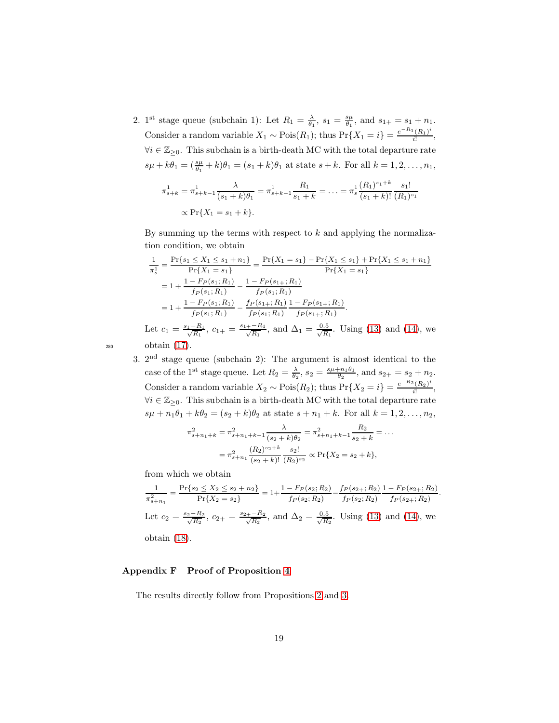2. 1<sup>st</sup> stage queue (subchain 1): Let  $R_1 = \frac{\lambda}{\theta_1}$ ,  $s_1 = \frac{s\mu}{\theta_1}$ , and  $s_{1+} = s_1 + n_1$ . Consider a random variable  $X_1 \sim \text{Pois}(R_1)$ ; thus  $\text{Pr}\{X_1 = i\} = \frac{e^{-R_1}(R_1)^i}{i!}$  $\frac{i(n_1)}{i!}$  $\forall i \in \mathbb{Z}_{\geq 0}$ . This subchain is a birth-death MC with the total departure rate  $s\mu + k\theta_1 = \left(\frac{s\mu}{\theta_1} + k\right)\theta_1 = (s_1 + k)\theta_1$  at state  $s + k$ . For all  $k = 1, 2, ..., n_1$ ,

$$
\pi_{s+k}^1 = \pi_{s+k-1}^1 \frac{\lambda}{(s_1+k)\theta_1} = \pi_{s+k-1}^1 \frac{R_1}{s_1+k} = \ldots = \pi_s^1 \frac{(R_1)^{s_1+k}}{(s_1+k)!} \frac{s_1!}{(R_1)^{s_1}}
$$
  
 
$$
\propto \Pr\{X_1 = s_1 + k\}.
$$

By summing up the terms with respect to  $k$  and applying the normalization condition, we obtain

$$
\frac{1}{\pi_s^1} = \frac{\Pr\{s_1 \le X_1 \le s_1 + n_1\}}{\Pr\{X_1 = s_1\}} = \frac{\Pr\{X_1 = s_1\} - \Pr\{X_1 \le s_1\} + \Pr\{X_1 \le s_1 + n_1\}}{\Pr\{X_1 = s_1\}} = 1 + \frac{1 - F_P(s_1; R_1)}{f_P(s_1; R_1)} - \frac{1 - F_P(s_1; R_1)}{f_P(s_1; R_1)} = 1 + \frac{1 - F_P(s_1; R_1)}{f_P(s_1; R_1)} - \frac{f_P(s_1; R_1)}{f_P(s_1; R_1)} \frac{1 - F_P(s_1; R_1)}{f_P(s_1; R_1)}.
$$
\nLet  $c_1 = \frac{s_1 - R_1}{\sqrt{R_1}}$ ,  $c_{1+} = \frac{s_1 + - R_1}{\sqrt{R_1}}$ , and  $\Delta_1 = \frac{0.5}{\sqrt{R_1}}$ . Using (13) and (14), we obtain (17).

3. 2nd stage queue (subchain 2): The argument is almost identical to the case of the 1<sup>st</sup> stage queue. Let  $R_2 = \frac{\lambda}{\theta_2}$ ,  $s_2 = \frac{s\mu + n_1\theta_1}{\theta_2}$ , and  $s_{2+} = s_2 + n_2$ . Consider a random variable  $X_2 \sim \text{Pois}(R_2)$ ; thus  $\text{Pr}\{X_2 = i\} = \frac{e^{-R_2}(R_2)^i}{i!}$  $\frac{i^{(n_2)}}{i!}$ ,  $\forall i \in \mathbb{Z}_{\geq 0}$ . This subchain is a birth-death MC with the total departure rate  $s\mu + n_1\theta_1 + k\theta_2 = (s_2 + k)\theta_2$  at state  $s + n_1 + k$ . For all  $k = 1, 2, ..., n_2$ ,

$$
\pi_{s+n_1+k}^2 = \pi_{s+n_1+k-1}^2 \frac{\lambda}{(s_2+k)\theta_2} = \pi_{s+n_1+k-1}^2 \frac{R_2}{s_2+k} = \dots
$$

$$
= \pi_{s+n_1}^2 \frac{(R_2)^{s_2+k}}{(s_2+k)!} \frac{s_2!}{(R_2)^{s_2}} \propto \Pr\{X_2 = s_2 + k\},
$$

from which we obtain

$$
\frac{1}{\pi_{s+n_1}^2} = \frac{\Pr\{s_2 \le X_2 \le s_2 + n_2\}}{\Pr\{X_2 = s_2\}} = 1 + \frac{1 - F_P(s_2; R_2)}{f_P(s_2; R_2)} - \frac{f_P(s_2 +; R_2)}{f_P(s_2; R_2)} \frac{1 - F_P(s_2 +; R_2)}{f_P(s_2 +; R_2)}.
$$
\nLet  $c_2 = \frac{s_2 - R_2}{\sqrt{R_2}}$ ,  $c_{2+} = \frac{s_2 + -R_2}{\sqrt{R_2}}$ , and  $\Delta_2 = \frac{0.5}{\sqrt{R_2}}$ . Using (13) and (14), we

obtain [\(18\)](#page-8-1).

# Appendix F Proof of Proposition [4](#page-8-0)

The results directly follow from Propositions [2](#page-4-0) and [3.](#page-7-1)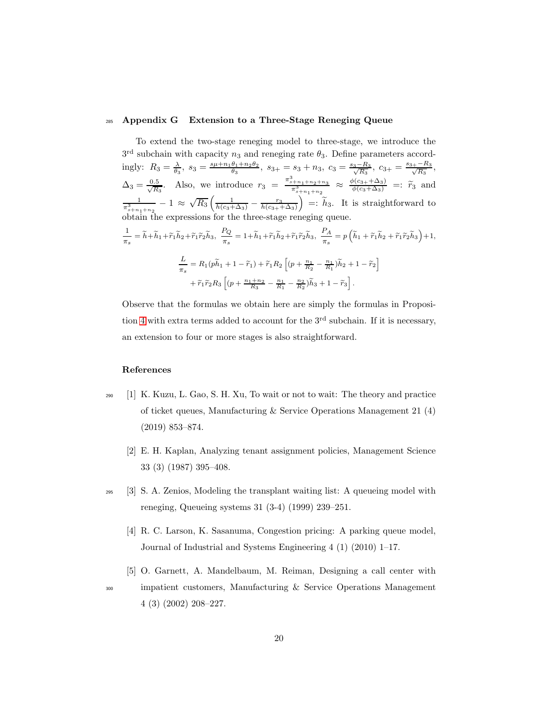#### <span id="page-19-5"></span><sup>285</sup> Appendix G Extension to a Three-Stage Reneging Queue

To extend the two-stage reneging model to three-stage, we introduce the  $3<sup>rd</sup>$  subchain with capacity  $n_3$  and reneging rate  $\theta_3$ . Define parameters accordingly:  $R_3 = \frac{\lambda}{\theta_3}$ ,  $s_3 = \frac{s\mu + n_1\theta_1 + n_2\theta_2}{\theta_3}$ ,  $s_{3+} = s_3 + n_3$ ,  $c_3 = \frac{s_3 - R_3}{\sqrt{R_3}}$ ,  $c_{3+} = \frac{s_{3+} - R_3}{\sqrt{R_3}}$ ,  $\Delta_3 = \frac{0.5}{\sqrt{R}}$  $\frac{1.5}{R_3}$ . Also, we introduce  $r_3 = \frac{\pi_{s+n_1+n_2+n_3}^3}{\pi_{s+n_1+n_2}^3} \approx \frac{\phi(c_{3+}+\Delta_3)}{\phi(c_3+\Delta_3)} =: \tilde{r}_3$  and  $\frac{1}{\pi_{s+n_1+n_2}^3} - 1 \approx \sqrt{R_3} \left( \frac{1}{h(c_3+\Delta_3)} - \frac{r_3}{h(c_3+\Delta_3)} \right)$  $\Big) =: \tilde{h}_3$ . It is straightforward to obtain the expressions for the three-stage reneging queue. 1  $\frac{1}{\pi_s} = \tilde{h} + \tilde{h}_1 + \tilde{r}_1 \tilde{h}_2 + \tilde{r}_1 \tilde{r}_2 \tilde{h}_3, \ \frac{P_Q}{\pi_s}$  $\frac{P_Q}{\pi_s} = 1 + \widetilde{h}_1 + \widetilde{r}_1 \widetilde{h}_2 + \widetilde{r}_1 \widetilde{r}_2 \widetilde{h}_3, \ \frac{P_A}{\pi_s}$  $\frac{P_A}{\pi_s} = p\left(\widetilde{h}_1 + \widetilde{r}_1\widetilde{h}_2 + \widetilde{r}_1\widetilde{r}_2\widetilde{h}_3\right) + 1,$ L  $\frac{L}{\pi_s} = R_1(p\widetilde{h}_1 + 1 - \widetilde{r}_1) + \widetilde{r}_1 R_2 \left[ (p + \frac{n_1}{R_2} - \frac{n_1}{R_1}) \widetilde{h}_2 + 1 - \widetilde{r}_2 \right]$  $+ \tilde{r}_1 \tilde{r}_2 R_3 \left[ (p + \frac{n_1+n_2}{R_3} - \frac{n_1}{R_1} - \frac{n_2}{R_2}) \tilde{h}_3 + 1 - \tilde{r}_3 \right].$ 

Observe that the formulas we obtain here are simply the formulas in Proposi-tion [4](#page-8-0) with extra terms added to account for the  $3<sup>rd</sup>$  subchain. If it is necessary, an extension to four or more stages is also straightforward.

#### <span id="page-19-0"></span>References

- <sup>290</sup> [1] K. Kuzu, L. Gao, S. H. Xu, To wait or not to wait: The theory and practice of ticket queues, Manufacturing & Service Operations Management 21 (4) (2019) 853–874.
	- [2] E. H. Kaplan, Analyzing tenant assignment policies, Management Science 33 (3) (1987) 395–408.
- <span id="page-19-3"></span><span id="page-19-2"></span><span id="page-19-1"></span><sup>295</sup> [3] S. A. Zenios, Modeling the transplant waiting list: A queueing model with reneging, Queueing systems 31 (3-4) (1999) 239–251.
	- [4] R. C. Larson, K. Sasanuma, Congestion pricing: A parking queue model, Journal of Industrial and Systems Engineering 4 (1) (2010) 1–17.
- <span id="page-19-4"></span>[5] O. Garnett, A. Mandelbaum, M. Reiman, Designing a call center with <sup>300</sup> impatient customers, Manufacturing & Service Operations Management 4 (3) (2002) 208–227.